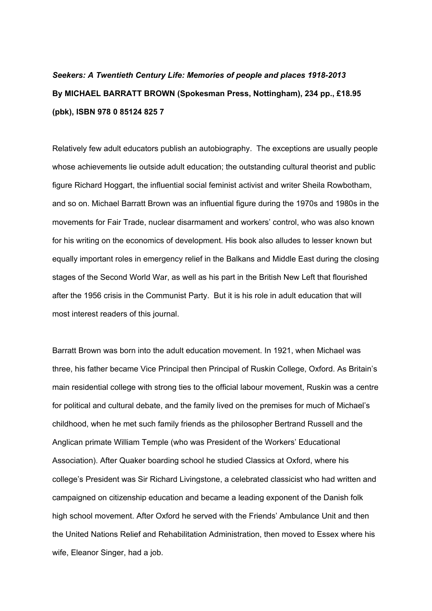## *Seekers: A Twentieth Century Life: Memories of people and places 1918-2013* **By MICHAEL BARRATT BROWN (Spokesman Press, Nottingham), 234 pp., £18.95 (pbk), ISBN 978 0 85124 825 7**

Relatively few adult educators publish an autobiography. The exceptions are usually people whose achievements lie outside adult education; the outstanding cultural theorist and public figure Richard Hoggart, the influential social feminist activist and writer Sheila Rowbotham, and so on. Michael Barratt Brown was an influential figure during the 1970s and 1980s in the movements for Fair Trade, nuclear disarmament and workers' control, who was also known for his writing on the economics of development. His book also alludes to lesser known but equally important roles in emergency relief in the Balkans and Middle East during the closing stages of the Second World War, as well as his part in the British New Left that flourished after the 1956 crisis in the Communist Party. But it is his role in adult education that will most interest readers of this journal.

Barratt Brown was born into the adult education movement. In 1921, when Michael was three, his father became Vice Principal then Principal of Ruskin College, Oxford. As Britain's main residential college with strong ties to the official labour movement, Ruskin was a centre for political and cultural debate, and the family lived on the premises for much of Michael's childhood, when he met such family friends as the philosopher Bertrand Russell and the Anglican primate William Temple (who was President of the Workers' Educational Association). After Quaker boarding school he studied Classics at Oxford, where his college's President was Sir Richard Livingstone, a celebrated classicist who had written and campaigned on citizenship education and became a leading exponent of the Danish folk high school movement. After Oxford he served with the Friends' Ambulance Unit and then the United Nations Relief and Rehabilitation Administration, then moved to Essex where his wife, Eleanor Singer, had a job.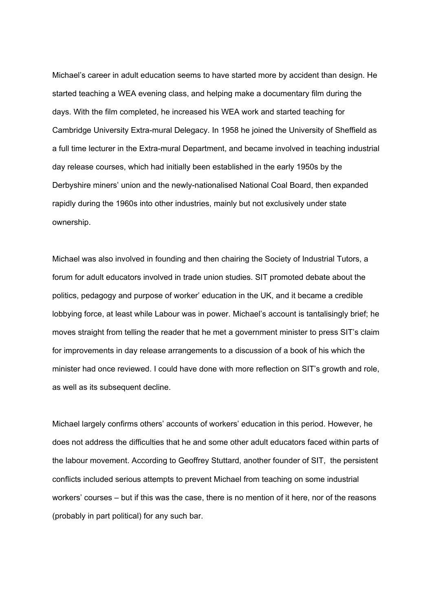Michael's career in adult education seems to have started more by accident than design. He started teaching a WEA evening class, and helping make a documentary film during the days. With the film completed, he increased his WEA work and started teaching for Cambridge University Extra-mural Delegacy. In 1958 he joined the University of Sheffield as a full time lecturer in the Extra-mural Department, and became involved in teaching industrial day release courses, which had initially been established in the early 1950s by the Derbyshire miners' union and the newly-nationalised National Coal Board, then expanded rapidly during the 1960s into other industries, mainly but not exclusively under state ownership.

Michael was also involved in founding and then chairing the Society of Industrial Tutors, a forum for adult educators involved in trade union studies. SIT promoted debate about the politics, pedagogy and purpose of worker' education in the UK, and it became a credible lobbying force, at least while Labour was in power. Michael's account is tantalisingly brief; he moves straight from telling the reader that he met a government minister to press SIT's claim for improvements in day release arrangements to a discussion of a book of his which the minister had once reviewed. I could have done with more reflection on SIT's growth and role, as well as its subsequent decline.

Michael largely confirms others' accounts of workers' education in this period. However, he does not address the difficulties that he and some other adult educators faced within parts of the labour movement. According to Geoffrey Stuttard, another founder of SIT, the persistent conflicts included serious attempts to prevent Michael from teaching on some industrial workers' courses – but if this was the case, there is no mention of it here, nor of the reasons (probably in part political) for any such bar.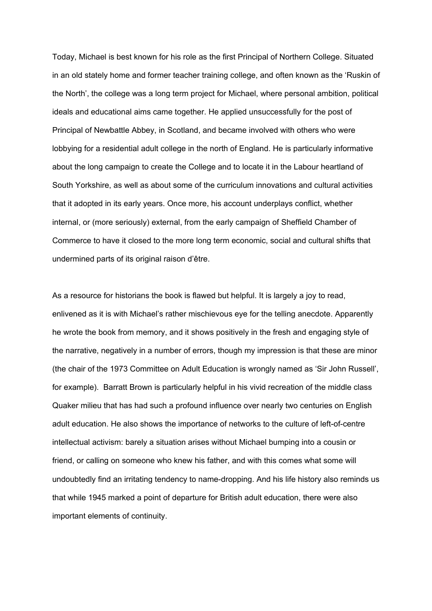Today, Michael is best known for his role as the first Principal of Northern College. Situated in an old stately home and former teacher training college, and often known as the 'Ruskin of the North', the college was a long term project for Michael, where personal ambition, political ideals and educational aims came together. He applied unsuccessfully for the post of Principal of Newbattle Abbey, in Scotland, and became involved with others who were lobbying for a residential adult college in the north of England. He is particularly informative about the long campaign to create the College and to locate it in the Labour heartland of South Yorkshire, as well as about some of the curriculum innovations and cultural activities that it adopted in its early years. Once more, his account underplays conflict, whether internal, or (more seriously) external, from the early campaign of Sheffield Chamber of Commerce to have it closed to the more long term economic, social and cultural shifts that undermined parts of its original raison d'être.

As a resource for historians the book is flawed but helpful. It is largely a joy to read, enlivened as it is with Michael's rather mischievous eye for the telling anecdote. Apparently he wrote the book from memory, and it shows positively in the fresh and engaging style of the narrative, negatively in a number of errors, though my impression is that these are minor (the chair of the 1973 Committee on Adult Education is wrongly named as 'Sir John Russell', for example). Barratt Brown is particularly helpful in his vivid recreation of the middle class Quaker milieu that has had such a profound influence over nearly two centuries on English adult education. He also shows the importance of networks to the culture of left-of-centre intellectual activism: barely a situation arises without Michael bumping into a cousin or friend, or calling on someone who knew his father, and with this comes what some will undoubtedly find an irritating tendency to name-dropping. And his life history also reminds us that while 1945 marked a point of departure for British adult education, there were also important elements of continuity.